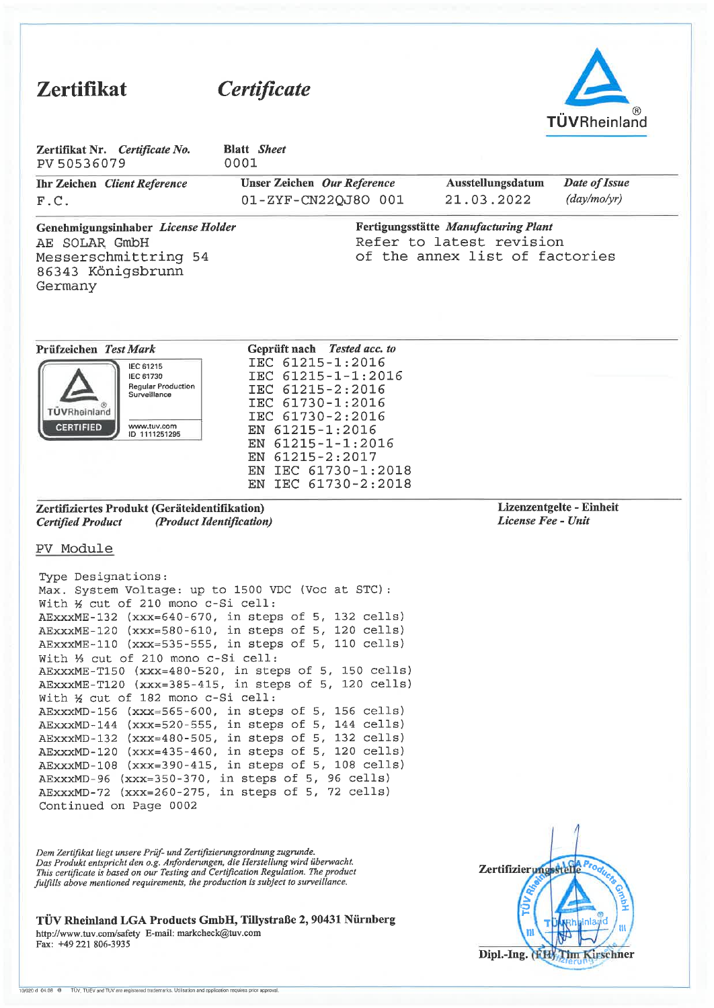| <b>Zertifikat</b>                                                                                                                                                                                                                                                                                                                                                                                                                                                                                                                                                                                                                                                                                                                                                                                                                                                                                                     | <i>Certificate</i>                                                                                                                                                                                                                         |                                                                                                    |                                                |
|-----------------------------------------------------------------------------------------------------------------------------------------------------------------------------------------------------------------------------------------------------------------------------------------------------------------------------------------------------------------------------------------------------------------------------------------------------------------------------------------------------------------------------------------------------------------------------------------------------------------------------------------------------------------------------------------------------------------------------------------------------------------------------------------------------------------------------------------------------------------------------------------------------------------------|--------------------------------------------------------------------------------------------------------------------------------------------------------------------------------------------------------------------------------------------|----------------------------------------------------------------------------------------------------|------------------------------------------------|
|                                                                                                                                                                                                                                                                                                                                                                                                                                                                                                                                                                                                                                                                                                                                                                                                                                                                                                                       |                                                                                                                                                                                                                                            |                                                                                                    | <b>TÜVRheinland</b>                            |
| Zertifikat Nr. Certificate No.<br>PV 50536079                                                                                                                                                                                                                                                                                                                                                                                                                                                                                                                                                                                                                                                                                                                                                                                                                                                                         | <b>Blatt</b> Sheet<br>0001                                                                                                                                                                                                                 |                                                                                                    |                                                |
| Ihr Zeichen Client Reference<br>F.C.                                                                                                                                                                                                                                                                                                                                                                                                                                                                                                                                                                                                                                                                                                                                                                                                                                                                                  | Unser Zeichen Our Reference<br>01-ZYF-CN22QJ8O 001                                                                                                                                                                                         | Ausstellungsdatum<br>21.03.2022                                                                    | Date of Issue<br>(day/mol/yr)                  |
| Genehmigungsinhaber License Holder<br>AE SOLAR GmbH<br>Messerschmittring 54<br>86343 Königsbrunn<br>Germany                                                                                                                                                                                                                                                                                                                                                                                                                                                                                                                                                                                                                                                                                                                                                                                                           |                                                                                                                                                                                                                                            | Fertigungsstätte Manufacturing Plant<br>Refer to latest revision<br>of the annex list of factories |                                                |
| Prüfzeichen Test Mark<br>IEC 61215<br>IEC 61730<br><b>Requiar Production</b><br>Surveillance<br>TÜVRheinland<br><b>CERTIFIED</b><br>www.tuv.com<br>ID 1111251295                                                                                                                                                                                                                                                                                                                                                                                                                                                                                                                                                                                                                                                                                                                                                      | Geprüft nach Tested acc. to<br>IEC 61215-1:2016<br>IEC 61215-1-1:2016<br>IEC 61215-2:2016<br>IEC 61730-1:2016<br>IEC 61730-2:2016<br>EN 61215-1:2016<br>EN 61215-1-1:2016<br>EN 61215-2:2017<br>EN IEC 61730-1:2018<br>EN IEC 61730-2:2018 |                                                                                                    |                                                |
| Zertifiziertes Produkt (Geräteidentifikation)<br>(Product Identification)<br><b>Certified Product</b>                                                                                                                                                                                                                                                                                                                                                                                                                                                                                                                                                                                                                                                                                                                                                                                                                 |                                                                                                                                                                                                                                            |                                                                                                    | Lizenzentgelte - Einheit<br>License Fee - Unit |
| PV Module<br>Type Designations:<br>Max. System Voltage: up to 1500 VDC (Voc at STC):<br>With 1/2 cut of 210 mono c-Si cell:<br>AEXXXME-132 (XXX=640-670, in steps of 5, 132 cells)<br>AExxxME-120 (xxx=580-610, in steps of 5, 120 cells)<br>AExxxME-110 (xxx=535-555, in steps of 5, 110 cells)<br>With 1/3 cut of 210 mono c-Si cell:<br>AEXXXME-T150 (XXX=480-520, in steps of 5, 150 cells)<br>AEXXXME-T120 (XXX=385-415, in steps of 5, 120 cells)<br>With 1/2 cut of 182 mono c-Si cell:<br>AExxxMD-156 (xxx=565-600, in steps of 5, 156 cells)<br>AExxxMD-144 (xxx=520-555, in steps of 5, 144 cells)<br>AEXXXMD-132 (XXX=480-505, in steps of 5, 132 cells)<br>AEXXXMD-120 (XXX=435-460, in steps of 5, 120 cells)<br>AEXXXMD-108 (XXX=390-415, in steps of 5, 108 cells)<br>AExxxMD-96 (xxx=350-370, in steps of 5, 96 cells)<br>AEXXXMD-72 (XXX=260-275, in steps of 5, 72 cells)<br>Continued on Page 0002 |                                                                                                                                                                                                                                            |                                                                                                    |                                                |
| Dem Zertifikat liegt unsere Prüf- und Zertifizierungsordnung zugrunde.<br>Das Produkt entspricht den o.g. Anforderungen, die Herstellung wird überwacht.<br>This certificate is hased on our Testing and Certification Regulation. The product                                                                                                                                                                                                                                                                                                                                                                                                                                                                                                                                                                                                                                                                        |                                                                                                                                                                                                                                            | <b>Zertifizierungsstel</b>                                                                         |                                                |

Das Produkt entspricht den 0.g. Anforderungen, die Herstellung wird überwacht.<br>This certificate is based on our Testing and Certification Regulation. The product fulfills above mentioned requirements, the production is sub

TÜV Rheinland LGA Products GmbH, Tillystraße 2, 90431 Nürnberg<br>http://www.tuv.com/safety E-mail: markcheck@tuv.com Fax: +49 221 806-3935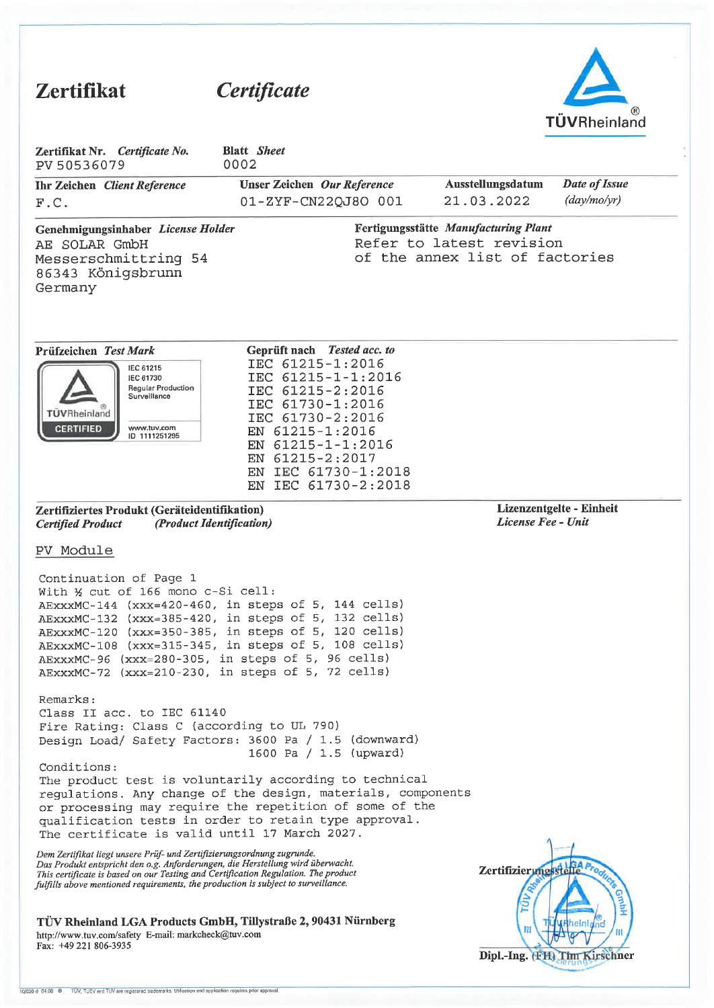| <b>Zertifikat</b>                                                                                                                                                                                                                                                                                                                                                                                   | Certificate                                                                                                                                                                                                                                      |                                                |                                                                                                    | <b>TÜVRheinland</b>           |
|-----------------------------------------------------------------------------------------------------------------------------------------------------------------------------------------------------------------------------------------------------------------------------------------------------------------------------------------------------------------------------------------------------|--------------------------------------------------------------------------------------------------------------------------------------------------------------------------------------------------------------------------------------------------|------------------------------------------------|----------------------------------------------------------------------------------------------------|-------------------------------|
| Zertifikat Nr. Certificate No.<br>PV 50536079                                                                                                                                                                                                                                                                                                                                                       | <b>Blatt</b> Sheet<br>0002                                                                                                                                                                                                                       |                                                |                                                                                                    |                               |
| <b>Ihr Zeichen</b> Client Reference<br>F.C.                                                                                                                                                                                                                                                                                                                                                         | Unser Zeichen Our Reference<br>01-ZYF-CN22QJ8O 001                                                                                                                                                                                               |                                                | Ausstellungsdatum<br>21.03.2022                                                                    | Date of Issue<br>(day/mol/yr) |
| Genehmigungsinhaber License Holder<br>AE SOLAR GmbH<br>Messerschmittring 54<br>86343 Königsbrunn<br>Germany                                                                                                                                                                                                                                                                                         |                                                                                                                                                                                                                                                  |                                                | Fertigungsstätte Manufacturing Plant<br>Refer to latest revision<br>of the annex list of factories |                               |
| Prüfzeichen Test Mark<br>IEC 61215<br>IEC 61730<br>Regular Production<br>Surveillance<br>TUVRheinland<br><b>CERTIFIED</b><br>www.tuv.com<br>ID 1111251295                                                                                                                                                                                                                                           | Geprüft nach Tested acc. to<br>IEC 61215-1:2016<br>IEC 61215-1-1:2016<br>IEC 61215-2:2016<br>IEC 61730-1:2016<br>IEC 61730-2:2016<br>EN 61215-1:2016<br>EN 61215-1-1:2016<br>EN 61215-2:2017<br>IEC 61730-1:2018<br>EN<br>IEC 61730-2:2018<br>EN |                                                |                                                                                                    |                               |
| Zertifiziertes Produkt (Geräteidentifikation)<br>(Product Identification)<br><b>Certified Product</b>                                                                                                                                                                                                                                                                                               |                                                                                                                                                                                                                                                  | Lizenzentgelte - Einheit<br>License Fee - Unit |                                                                                                    |                               |
| PV Module                                                                                                                                                                                                                                                                                                                                                                                           |                                                                                                                                                                                                                                                  |                                                |                                                                                                    |                               |
| Continuation of Page 1<br>With 1/2 cut of 166 mono c-Si cell:<br>AExxxMC-144 (xxx=420-460, in steps of 5, 144 cells)<br>AEXXXMC-132 (XXX=385-420, in steps of 5, 132 cells)<br>AEXXXMC-120 (XXX=350-385, in steps of 5, 120 cells)<br>AEXXXMC-108 (XXX=315-345, in steps of 5, 108 cells)<br>AEXXXMC-96 (XXX=280-305, in steps of 5, 96 cells)<br>AExxxMC-72 (xxx=210-230, in steps of 5, 72 cells) |                                                                                                                                                                                                                                                  |                                                |                                                                                                    |                               |
| Remarks:<br>Class II acc. to IEC 61140<br>Fire Rating: Class C (according to UL 790)<br>Design Load/ Safety Factors: 3600 Pa / 1.5 (downward)                                                                                                                                                                                                                                                       | 1600 Pa / 1.5 (upward)                                                                                                                                                                                                                           |                                                |                                                                                                    |                               |
| Conditions:<br>The product test is voluntarily according to technical<br>regulations. Any change of the design, materials, components<br>or processing may require the repetition of some of the<br>qualification tests in order to retain type approval.<br>The certificate is valid until 17 March 2027.                                                                                          |                                                                                                                                                                                                                                                  |                                                |                                                                                                    |                               |
| Dem Zertifikat liegt unsere Prüf- und Zertifizierungsordnung zugrunde.<br>Das Produkt entspricht den o.g. Anforderungen, die Herstellung wird überwacht.<br>This certificate is based on our Testing and Certification Regulation. The product<br>fulfills above mentioned requirements, the production is subject to surveillance.                                                                 |                                                                                                                                                                                                                                                  |                                                | Zertifizierungsstelle                                                                              | 릴                             |
| TÜV Rheinland LGA Products GmbH, Tillystraße 2, 90431 Nürnberg<br>http://www.tuv.com/safety E-mail: markcheck@tuv.com<br>Fax: +49 221 806-3935                                                                                                                                                                                                                                                      |                                                                                                                                                                                                                                                  |                                                | П                                                                                                  |                               |

Dipl.-Ing. (FH) Thm Kirschner